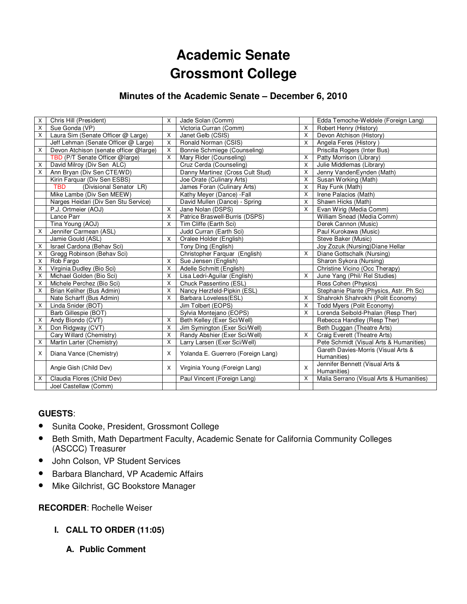# **Academic Senate Grossmont College**

# **Minutes of the Academic Senate – December 6, 2010**

| X                       | Chris Hill (President)                 | $\times$       | Jade Solan (Comm)                  |   | Edda Temoche-Weldele (Foreign Lang)      |
|-------------------------|----------------------------------------|----------------|------------------------------------|---|------------------------------------------|
| X                       | Sue Gonda (VP)                         |                | Victoria Curran (Comm)             | X | Robert Henry (History)                   |
| $\times$                | Laura Sim (Senate Officer @ Large)     | $\pmb{\times}$ | Janet Gelb (CSIS)                  | X | Devon Atchison (History)                 |
|                         | Jeff Lehman (Senate Officer @ Large)   | X              | Ronald Norman (CSIS)               | X | Angela Feres (History)                   |
| X                       | Devon Atchison (senate officer @large) | $\times$       |                                    |   |                                          |
|                         |                                        | $\times$       | Bonnie Schmiege (Counseling)       | X | Priscilla Rogers (Inter Bus)             |
|                         | TBD (P/T Senate Officer @large)        |                | Mary Rider (Counseling)            |   | Patty Morrison (Library)                 |
| X                       | David Milroy (Div Sen ALC)             |                | Cruz Cerda (Counseling)            | X | Julie Middlemas (Library)                |
| X                       | Ann Bryan (Div Sen CTE/WD)             |                | Danny Martinez (Cross Cult Stud)   | X | Jenny VandenEynden (Math)                |
|                         | Kirin Farquar (Div Sen ESBS)           |                | Joe Orate (Culinary Arts)          | X | Susan Working (Math)                     |
|                         | <b>TBD</b><br>(Divisional Senator LR)  |                | James Foran (Culinary Arts)        | X | Ray Funk (Math)                          |
|                         | Mike Lambe (Div Sen MEEW)              |                | Kathy Meyer (Dance) - Fall         | X | Irene Palacios (Math)                    |
|                         | Narges Heidari (Div Sen Stu Service)   |                | David Mullen (Dance) - Spring      | X | Shawn Hicks (Math)                       |
|                         | P.J. Ortmeier (AOJ)                    | $\mathsf{X}$   | Jane Nolan (DSPS)                  | X | Evan Wirig (Media Comm)                  |
|                         | Lance Parr                             | $\mathsf{X}$   | Patrice Braswell-Burris (DSPS)     |   | William Snead (Media Comm)               |
|                         | Tina Young (AOJ)                       | $\times$       | Tim Cliffe (Earth Sci)             |   | Derek Cannon (Music)                     |
| X                       | Jennifer Carmean (ASL)                 |                | Judd Curran (Earth Sci)            |   | Paul Kurokawa (Music)                    |
|                         | Jamie Gould (ASL)                      | $\mathsf{X}$   | Oralee Holder (English)            |   | Steve Baker (Music)                      |
| X                       | Israel Cardona (Behav Sci)             |                | Tony Ding (English)                |   | Joy Zozuk (Nursing) Diane Hellar         |
| X                       | Gregg Robinson (Behav Sci)             |                | Christopher Farquar (English)      | X | Diane Gottschalk (Nursing)               |
| X                       | Rob Fargo                              | $\mathsf{X}$   | Sue Jensen (English)               |   | Sharon Sykora (Nursing)                  |
| $\overline{\mathsf{x}}$ | Virginia Dudley (Bio Sci)              | X              | Adelle Schmitt (English)           |   | Christine Vicino (Occ Therapy)           |
| X                       | Michael Golden (Bio Sci)               | $\mathsf{X}$   | Lisa Ledri-Aguilar (English)       | X | June Yang (Phil/ Rel Studies)            |
| X                       | Michele Perchez (Bio Sci)              | $\mathsf{X}$   | Chuck Passentino (ESL)             |   | Ross Cohen (Physics)                     |
| X                       | Brian Keliher (Bus Admin)              | X              | Nancy Herzfeld-Pipkin (ESL)        |   | Stephanie Plante (Physics, Astr. Ph Sc)  |
|                         | Nate Scharff (Bus Admin)               | X              | Barbara Loveless(ESL)              | X | Shahrokh Shahrokhi (Polit Economy)       |
| X                       | Linda Snider (BOT)                     |                | Jim Tolbert (EOPS)                 | X | Todd Myers (Polit Economy)               |
|                         | Barb Gillespie (BOT)                   |                | Sylvia Montejano (EOPS)            | X | Lorenda Seibold-Phalan (Resp Ther)       |
| X                       | Andy Biondo (CVT)                      | X              | Beth Kelley (Exer Sci/Well)        |   | Rebecca Handley (Resp Ther)              |
| X                       | Don Ridgway (CVT)                      | X              | Jim Symington (Exer Sci/Well)      |   | Beth Duggan (Theatre Arts)               |
|                         | Cary Willard (Chemistry)               | X              | Randy Abshier (Exer Sci/Well)      | X | Craig Everett (Theatre Arts)             |
| X                       | Martin Larter (Chemistry)              | X              | Larry Larsen (Exer Sci/Well)       |   | Pete Schmidt (Visual Arts & Humanities)  |
|                         |                                        |                |                                    |   | Gareth Davies-Morris (Visual Arts &      |
| X                       | Diana Vance (Chemistry)                | X              | Yolanda E. Guerrero (Foreign Lang) |   | Humanities)                              |
|                         |                                        |                |                                    |   | Jennifer Bennett (Visual Arts &          |
|                         | Angie Gish (Child Dev)                 | $\times$       | Virginia Young (Foreign Lang)      | X | Humanities)                              |
| X                       | Claudia Flores (Child Dev)             |                | Paul Vincent (Foreign Lang)        | X | Malia Serrano (Visual Arts & Humanities) |
|                         | Joel Castellaw (Comm)                  |                |                                    |   |                                          |

# **GUESTS**:

- Sunita Cooke, President, Grossmont College
- Beth Smith, Math Department Faculty, Academic Senate for California Community Colleges (ASCCC) Treasurer
- John Colson, VP Student Services
- Barbara Blanchard, VP Academic Affairs
- Mike Gilchrist, GC Bookstore Manager

# **RECORDER**: Rochelle Weiser

- **I. CALL TO ORDER (11:05)** 
	- **A. Public Comment**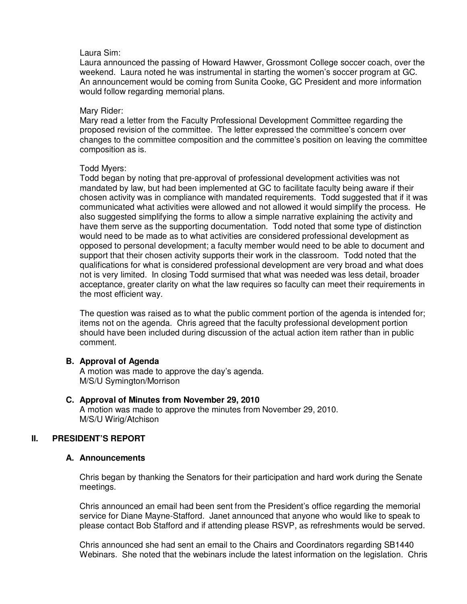#### Laura Sim:

Laura announced the passing of Howard Hawver, Grossmont College soccer coach, over the weekend. Laura noted he was instrumental in starting the women's soccer program at GC. An announcement would be coming from Sunita Cooke, GC President and more information would follow regarding memorial plans.

#### Mary Rider:

Mary read a letter from the Faculty Professional Development Committee regarding the proposed revision of the committee. The letter expressed the committee's concern over changes to the committee composition and the committee's position on leaving the committee composition as is.

#### Todd Myers:

Todd began by noting that pre-approval of professional development activities was not mandated by law, but had been implemented at GC to facilitate faculty being aware if their chosen activity was in compliance with mandated requirements. Todd suggested that if it was communicated what activities were allowed and not allowed it would simplify the process. He also suggested simplifying the forms to allow a simple narrative explaining the activity and have them serve as the supporting documentation. Todd noted that some type of distinction would need to be made as to what activities are considered professional development as opposed to personal development; a faculty member would need to be able to document and support that their chosen activity supports their work in the classroom. Todd noted that the qualifications for what is considered professional development are very broad and what does not is very limited. In closing Todd surmised that what was needed was less detail, broader acceptance, greater clarity on what the law requires so faculty can meet their requirements in the most efficient way.

The question was raised as to what the public comment portion of the agenda is intended for; items not on the agenda. Chris agreed that the faculty professional development portion should have been included during discussion of the actual action item rather than in public comment.

# **B. Approval of Agenda**

A motion was made to approve the day's agenda. M/S/U Symington/Morrison

#### **C. Approval of Minutes from November 29, 2010**  A motion was made to approve the minutes from November 29, 2010. M/S/U Wirig/Atchison

# **II. PRESIDENT'S REPORT**

# **A. Announcements**

Chris began by thanking the Senators for their participation and hard work during the Senate meetings.

Chris announced an email had been sent from the President's office regarding the memorial service for Diane Mayne-Stafford. Janet announced that anyone who would like to speak to please contact Bob Stafford and if attending please RSVP, as refreshments would be served.

Chris announced she had sent an email to the Chairs and Coordinators regarding SB1440 Webinars. She noted that the webinars include the latest information on the legislation. Chris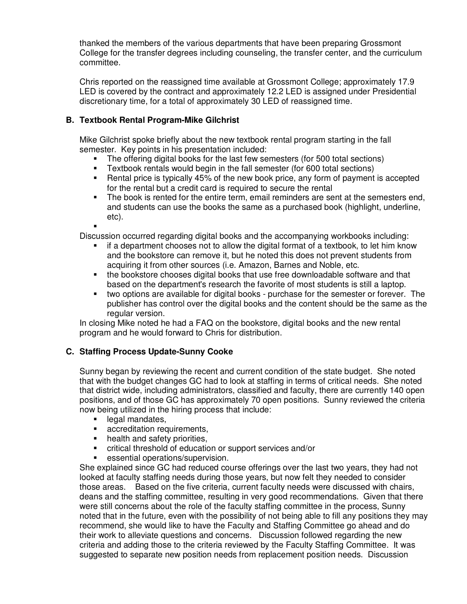thanked the members of the various departments that have been preparing Grossmont College for the transfer degrees including counseling, the transfer center, and the curriculum committee.

Chris reported on the reassigned time available at Grossmont College; approximately 17.9 LED is covered by the contract and approximately 12.2 LED is assigned under Presidential discretionary time, for a total of approximately 30 LED of reassigned time.

# **B. Textbook Rental Program-Mike Gilchrist**

Mike Gilchrist spoke briefly about the new textbook rental program starting in the fall semester. Key points in his presentation included:

- The offering digital books for the last few semesters (for 500 total sections)
- **Textbook rentals would begin in the fall semester (for 600 total sections)**
- Rental price is typically 45% of the new book price, any form of payment is accepted for the rental but a credit card is required to secure the rental
- The book is rented for the entire term, email reminders are sent at the semesters end, and students can use the books the same as a purchased book (highlight, underline, etc). .

Discussion occurred regarding digital books and the accompanying workbooks including:

- if a department chooses not to allow the digital format of a textbook, to let him know and the bookstore can remove it, but he noted this does not prevent students from acquiring it from other sources (i.e. Amazon, Barnes and Noble, etc.
- the bookstore chooses digital books that use free downloadable software and that based on the department's research the favorite of most students is still a laptop.
- two options are available for digital books purchase for the semester or forever. The publisher has control over the digital books and the content should be the same as the regular version.

In closing Mike noted he had a FAQ on the bookstore, digital books and the new rental program and he would forward to Chris for distribution.

# **C. Staffing Process Update-Sunny Cooke**

Sunny began by reviewing the recent and current condition of the state budget. She noted that with the budget changes GC had to look at staffing in terms of critical needs. She noted that district wide, including administrators, classified and faculty, there are currently 140 open positions, and of those GC has approximately 70 open positions. Sunny reviewed the criteria now being utilized in the hiring process that include:

- **legal mandates.**
- **EXECO** accreditation requirements,
- health and safety priorities,
- critical threshold of education or support services and/or
- essential operations/supervision.

She explained since GC had reduced course offerings over the last two years, they had not looked at faculty staffing needs during those years, but now felt they needed to consider those areas. Based on the five criteria, current faculty needs were discussed with chairs, deans and the staffing committee, resulting in very good recommendations. Given that there were still concerns about the role of the faculty staffing committee in the process, Sunny noted that in the future, even with the possibility of not being able to fill any positions they may recommend, she would like to have the Faculty and Staffing Committee go ahead and do their work to alleviate questions and concerns. Discussion followed regarding the new criteria and adding those to the criteria reviewed by the Faculty Staffing Committee. It was suggested to separate new position needs from replacement position needs. Discussion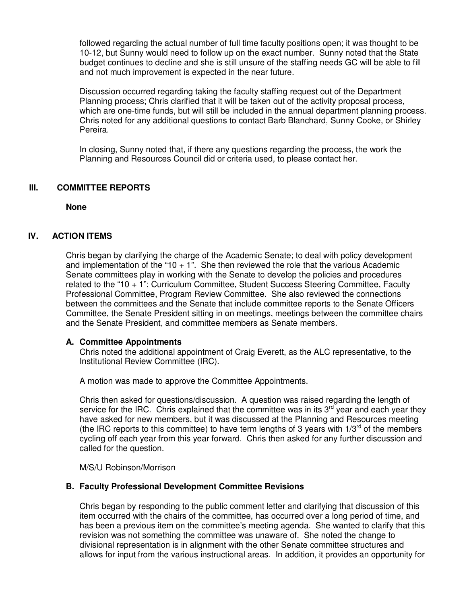followed regarding the actual number of full time faculty positions open; it was thought to be 10-12, but Sunny would need to follow up on the exact number. Sunny noted that the State budget continues to decline and she is still unsure of the staffing needs GC will be able to fill and not much improvement is expected in the near future.

Discussion occurred regarding taking the faculty staffing request out of the Department Planning process; Chris clarified that it will be taken out of the activity proposal process, which are one-time funds, but will still be included in the annual department planning process. Chris noted for any additional questions to contact Barb Blanchard, Sunny Cooke, or Shirley Pereira.

In closing, Sunny noted that, if there any questions regarding the process, the work the Planning and Resources Council did or criteria used, to please contact her.

#### **III. COMMITTEE REPORTS**

**None**

# **IV. ACTION ITEMS**

Chris began by clarifying the charge of the Academic Senate; to deal with policy development and implementation of the "10  $+$  1". She then reviewed the role that the various Academic Senate committees play in working with the Senate to develop the policies and procedures related to the "10 + 1"; Curriculum Committee, Student Success Steering Committee, Faculty Professional Committee, Program Review Committee. She also reviewed the connections between the committees and the Senate that include committee reports to the Senate Officers Committee, the Senate President sitting in on meetings, meetings between the committee chairs and the Senate President, and committee members as Senate members.

#### **A. Committee Appointments**

Chris noted the additional appointment of Craig Everett, as the ALC representative, to the Institutional Review Committee (IRC).

A motion was made to approve the Committee Appointments.

Chris then asked for questions/discussion. A question was raised regarding the length of service for the IRC. Chris explained that the committee was in its  $3^{rd}$  year and each year they have asked for new members, but it was discussed at the Planning and Resources meeting (the IRC reports to this committee) to have term lengths of 3 years with  $1/3^{rd}$  of the members cycling off each year from this year forward. Chris then asked for any further discussion and called for the question.

M/S/U Robinson/Morrison

#### **B. Faculty Professional Development Committee Revisions**

Chris began by responding to the public comment letter and clarifying that discussion of this item occurred with the chairs of the committee, has occurred over a long period of time, and has been a previous item on the committee's meeting agenda. She wanted to clarify that this revision was not something the committee was unaware of. She noted the change to divisional representation is in alignment with the other Senate committee structures and allows for input from the various instructional areas. In addition, it provides an opportunity for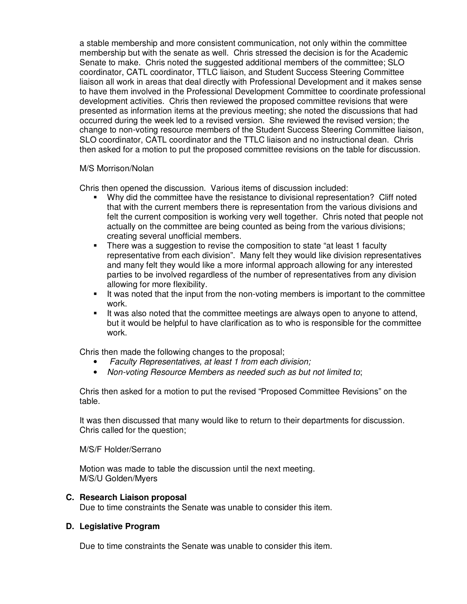a stable membership and more consistent communication, not only within the committee membership but with the senate as well. Chris stressed the decision is for the Academic Senate to make. Chris noted the suggested additional members of the committee; SLO coordinator, CATL coordinator, TTLC liaison, and Student Success Steering Committee liaison all work in areas that deal directly with Professional Development and it makes sense to have them involved in the Professional Development Committee to coordinate professional development activities. Chris then reviewed the proposed committee revisions that were presented as information items at the previous meeting; she noted the discussions that had occurred during the week led to a revised version. She reviewed the revised version; the change to non-voting resource members of the Student Success Steering Committee liaison, SLO coordinator, CATL coordinator and the TTLC liaison and no instructional dean. Chris then asked for a motion to put the proposed committee revisions on the table for discussion.

#### M/S Morrison/Nolan

Chris then opened the discussion. Various items of discussion included:

- Why did the committee have the resistance to divisional representation? Cliff noted that with the current members there is representation from the various divisions and felt the current composition is working very well together. Chris noted that people not actually on the committee are being counted as being from the various divisions; creating several unofficial members.
- There was a suggestion to revise the composition to state "at least 1 faculty representative from each division". Many felt they would like division representatives and many felt they would like a more informal approach allowing for any interested parties to be involved regardless of the number of representatives from any division allowing for more flexibility.
- It was noted that the input from the non-voting members is important to the committee work.
- It was also noted that the committee meetings are always open to anyone to attend, but it would be helpful to have clarification as to who is responsible for the committee work.

Chris then made the following changes to the proposal;

- Faculty Representatives, at least 1 from each division;
- Non-voting Resource Members as needed such as but not limited to;

Chris then asked for a motion to put the revised "Proposed Committee Revisions" on the table.

It was then discussed that many would like to return to their departments for discussion. Chris called for the question;

#### M/S/F Holder/Serrano

Motion was made to table the discussion until the next meeting. M/S/U Golden/Myers

#### **C. Research Liaison proposal**

Due to time constraints the Senate was unable to consider this item.

#### **D. Legislative Program**

Due to time constraints the Senate was unable to consider this item.